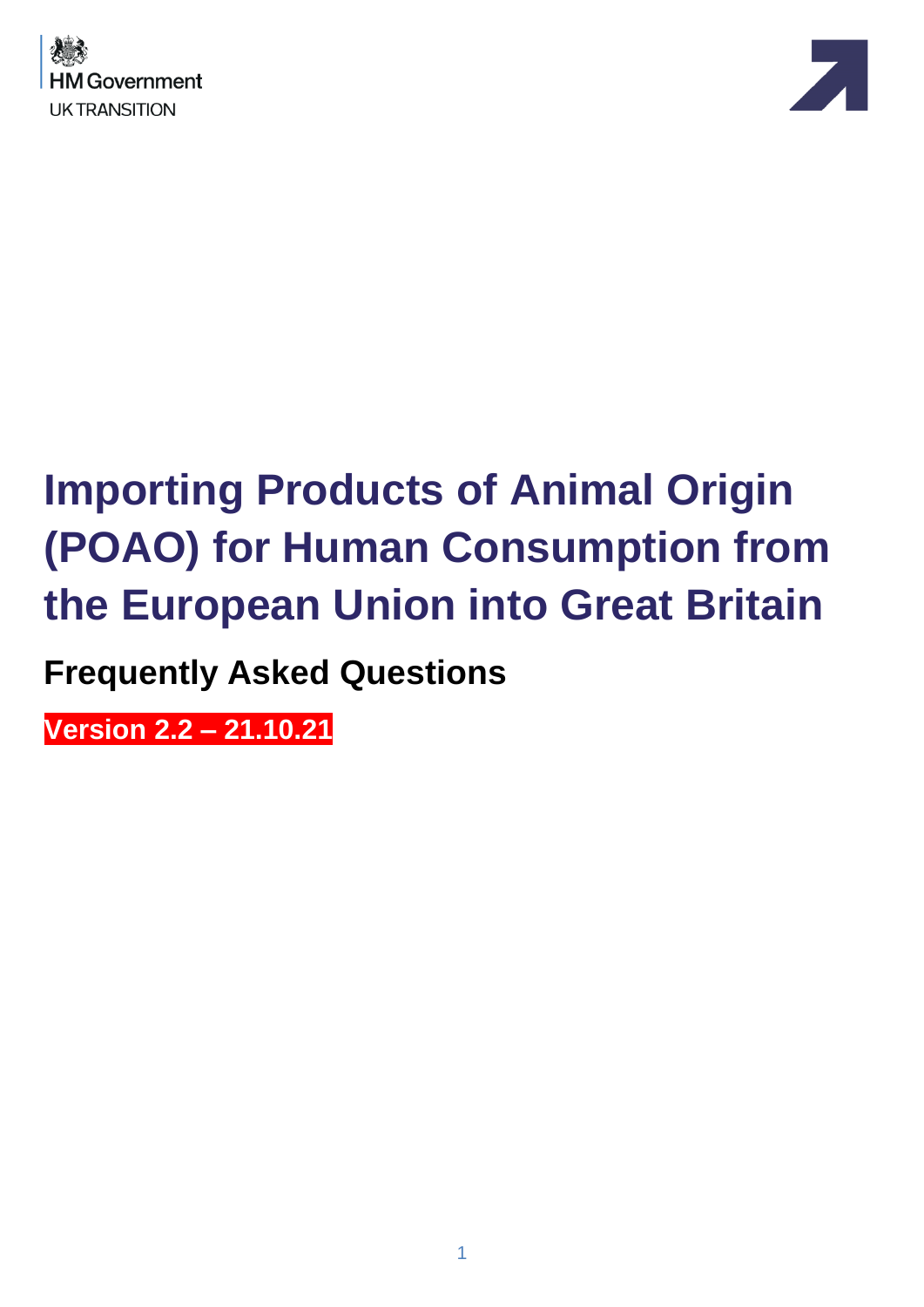



# **Importing Products of Animal Origin (POAO) for Human Consumption from the European Union into Great Britain**

**Frequently Asked Questions**

**Version 2.2 – 21.10.21**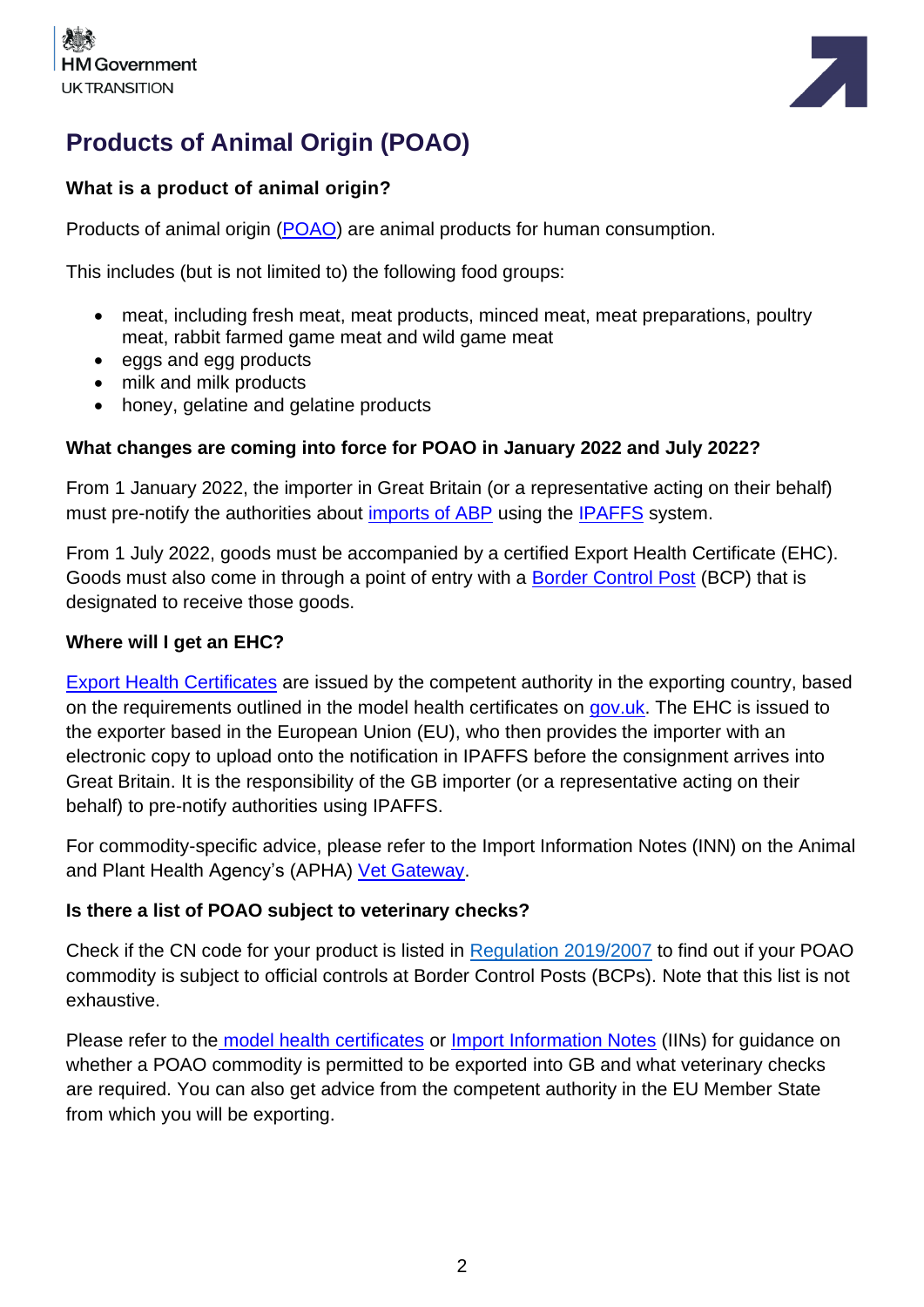



# **Products of Animal Origin (POAO)**

# **What is a product of animal origin?**

Products of animal origin [\(POAO\)](https://www.gov.uk/guidance/import-or-move-food-and-drink-from-the-eu-and-northern-ireland-to-great-britain) are animal products for human consumption.

This includes (but is not limited to) the following food groups:

- meat, including fresh meat, meat products, minced meat, meat preparations, poultry meat, rabbit farmed game meat and wild game meat
- eggs and egg products
- milk and milk products
- honey, gelatine and gelatine products

#### **What changes are coming into force for POAO in January 2022 and July 2022?**

From 1 January 2022, the importer in Great Britain (or a representative acting on their behalf) must pre-notify the authorities about [imports of ABP](https://www.gov.uk/guidance/importing-or-moving-live-animals-animal-products-and-high-risk-food-and-feed-not-of-animal-origin#animal-by-products) using the [IPAFFS](https://www.gov.uk/guidance/import-of-products-animals-food-and-feed-system) system.

From 1 July 2022, goods must be accompanied by a certified Export Health Certificate (EHC). Goods must also come in through a point of entry with a [Border Control Post](https://www.gov.uk/government/publications/uk-border-control-posts-animal-and-animal-product-imports) (BCP) that is designated to receive those goods.

#### **Where will I get an EHC?**

[Export Health Certificates](https://www.gov.uk/guidance/get-an-export-health-certificate) are issued by the competent authority in the exporting country, based on the requirements outlined in the model health certificates on [gov.uk.](https://www.gov.uk/government/collections/health-certificates-for-animal-and-animal-product-imports-to-great-britain) The EHC is issued to the exporter based in the European Union (EU), who then provides the importer with an electronic copy to upload onto the notification in IPAFFS before the consignment arrives into Great Britain. It is the responsibility of the GB importer (or a representative acting on their behalf) to pre-notify authorities using IPAFFS.

For commodity-specific advice, please refer to the Import Information Notes (INN) on the Animal and Plant Health Agency's (APHA) [Vet Gateway.](http://apha.defra.gov.uk/official-vets/Guidance/bip/iin/animal-prod-hum-cons.htm)

#### **Is there a list of POAO subject to veterinary checks?**

Check if the CN code for your product is listed in [Regulation 2019/2007](http://www.legislation.gov.uk/eur/2019/2007/contents) to find out if your POAO commodity is subject to official controls at Border Control Posts (BCPs). Note that this list is not exhaustive.

Please refer to the [model health certificates](https://www.gov.uk/government/collections/health-certificates-for-animal-and-animal-product-imports-to-great-britain#products-of-animal-origin) or [Import Information Notes](http://apha.defra.gov.uk/official-vets/Guidance/bip/iin/animal-prod-hum-cons.htm) (IINs) for guidance on whether a POAO commodity is permitted to be exported into GB and what veterinary checks are required. You can also get advice from the competent authority in the EU Member State from which you will be exporting.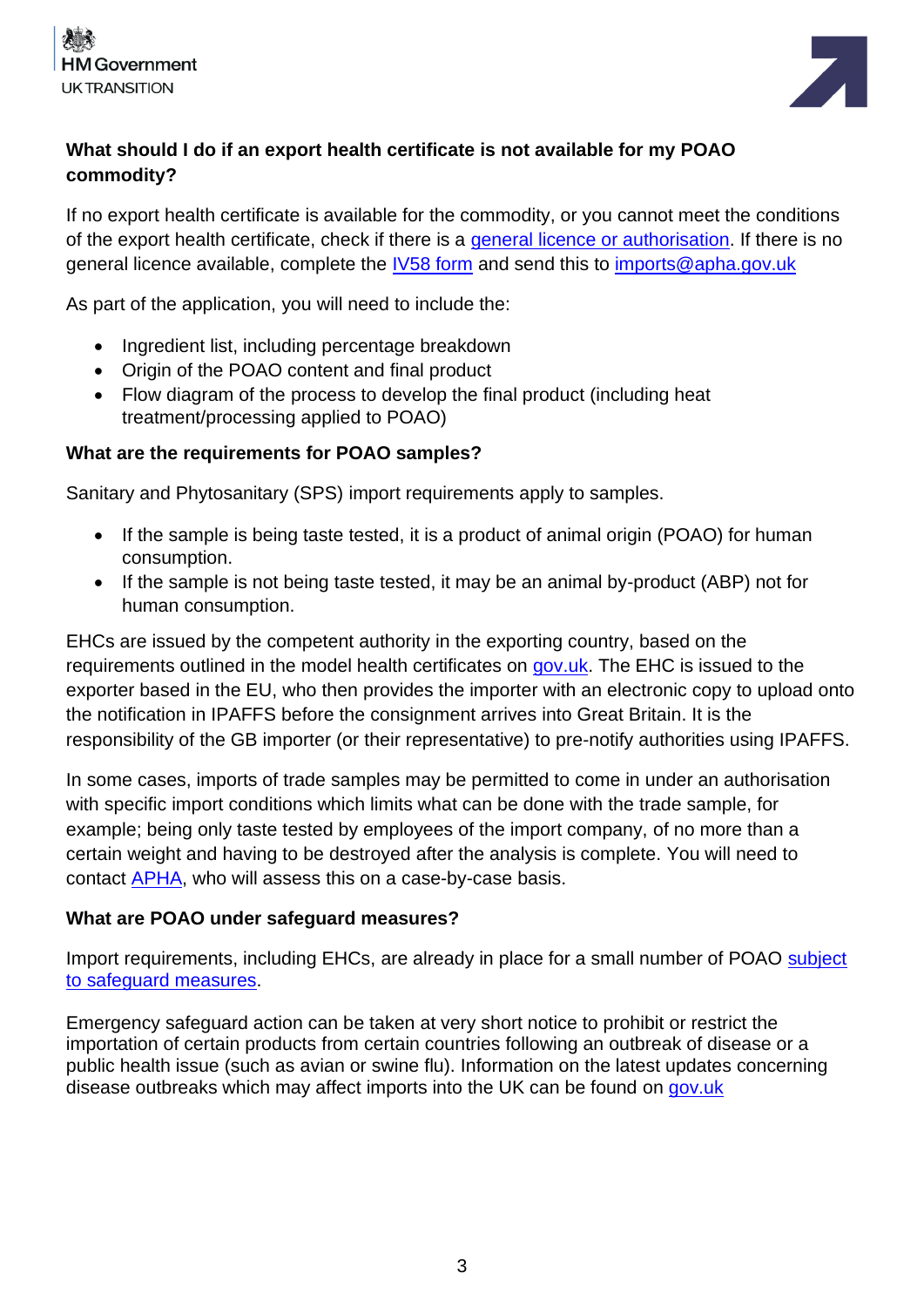



# **What should I do if an export health certificate is not available for my POAO commodity?**

If no export health certificate is available for the commodity, or you cannot meet the conditions of the export health certificate, check if there is a [general licence or authorisation.](https://www.gov.uk/guidance/importing-live-animals-or-animal-products-from-non-eu-countries-general-licences-and-authorisations) If there is no general licence available, complete the [IV58 form](https://www.gov.uk/government/publications/animal-products-and-pathogens-application-for-import-licence) and send this to [imports@apha.gov.uk](mailto:imports@apha.gov.uk)

As part of the application, you will need to include the:

- Ingredient list, including percentage breakdown
- Origin of the POAO content and final product
- Flow diagram of the process to develop the final product (including heat treatment/processing applied to POAO)

#### **What are the requirements for POAO samples?**

Sanitary and Phytosanitary (SPS) import requirements apply to samples.

- If the sample is being taste tested, it is a product of animal origin (POAO) for human consumption.
- If the sample is not being taste tested, it may be an animal by-product (ABP) not for human consumption.

EHCs are issued by the competent authority in the exporting country, based on the requirements outlined in the model health certificates on [gov.uk.](https://www.gov.uk/government/collections/health-certificates-for-animal-and-animal-product-imports-to-great-britain) The EHC is issued to the exporter based in the EU, who then provides the importer with an electronic copy to upload onto the notification in IPAFFS before the consignment arrives into Great Britain. It is the responsibility of the GB importer (or their representative) to pre-notify authorities using IPAFFS.

In some cases, imports of trade samples may be permitted to come in under an authorisation with specific import conditions which limits what can be done with the trade sample, for example; being only taste tested by employees of the import company, of no more than a certain weight and having to be destroyed after the analysis is complete. You will need to contact [APHA,](mailto:imports@apha.gov.uk) who will assess this on a case-by-case basis.

#### **What are POAO under safeguard measures?**

Import requirements, including EHCs, are already in place for a small number of POAO [subject](https://www.gov.uk/guidance/imports-and-exports-of-animals-and-animal-products-topical-issues)  [to safeguard measures.](https://www.gov.uk/guidance/imports-and-exports-of-animals-and-animal-products-topical-issues)

Emergency safeguard action can be taken at very short notice to prohibit or restrict the importation of certain products from certain countries following an outbreak of disease or a public health issue (such as avian or swine flu). Information on the latest updates concerning disease outbreaks which may affect imports into the UK can be found on [gov.uk](https://www.gov.uk/guidance/imports-and-exports-of-animals-and-animal-products-topical-issues)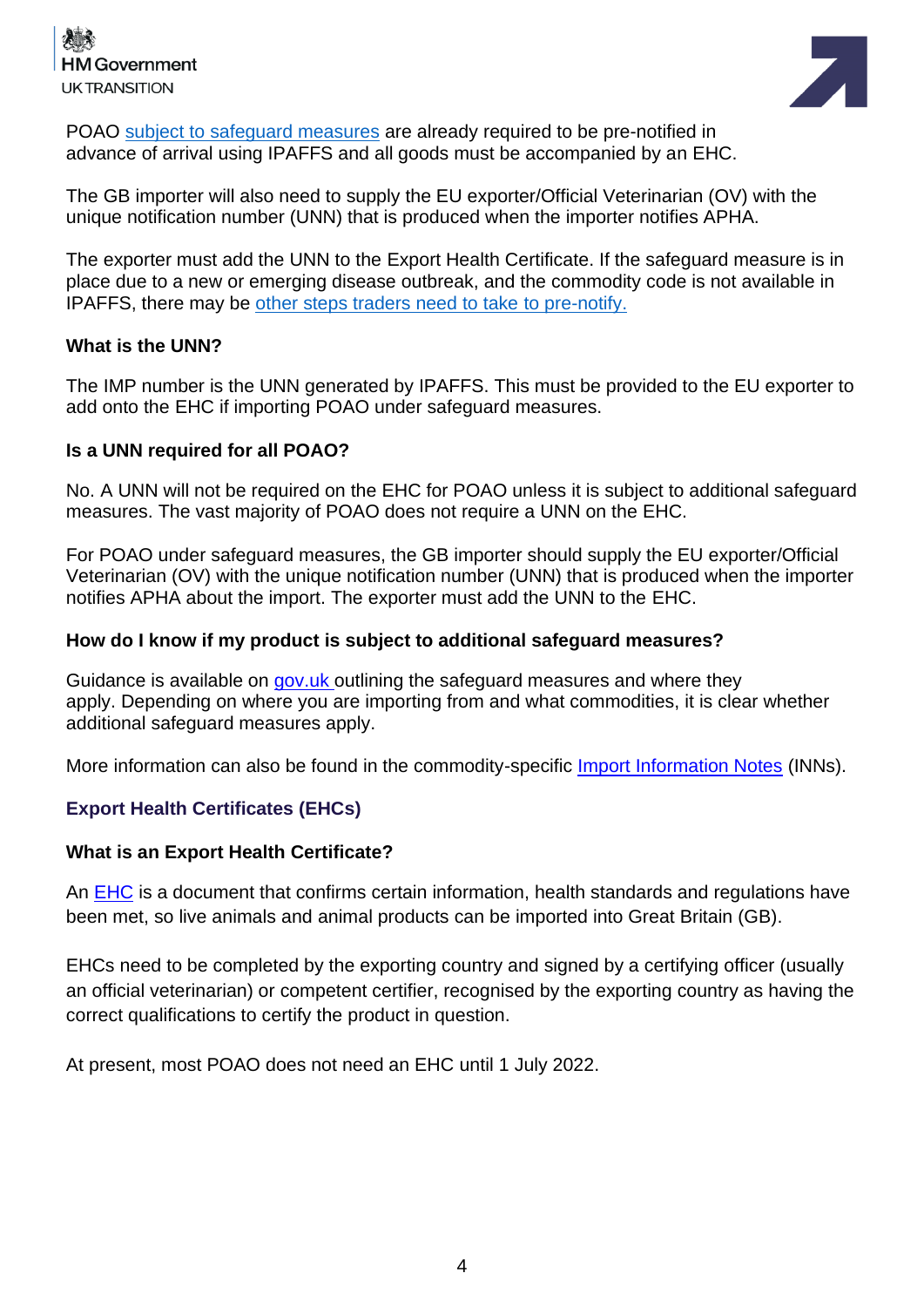



POAO subject to [safeguard measures](https://www.gov.uk/guidance/imports-and-exports-of-animals-and-animal-products-topical-issues) are already required to be pre-notified in advance of arrival using IPAFFS and all goods must be accompanied by an EHC.

The GB importer will also need to supply the EU exporter/Official Veterinarian (OV) with the unique notification number (UNN) that is produced when the importer notifies APHA.

The exporter must add the UNN to the Export Health Certificate. If the safeguard measure is in place due to a new or emerging disease outbreak, and the commodity code is not available in IPAFFS, there may be [other steps traders need to take](https://www.gov.uk/guidance/importing-or-moving-live-animals-animal-products-and-high-risk-food-and-feed-not-of-animal-origin#importing-abp-and-products-of-animal-origin-poao) to pre-notify.

#### **What is the UNN?**

The IMP number is the UNN generated by IPAFFS. This must be provided to the EU exporter to add onto the EHC if importing POAO under safeguard measures.

#### **Is a UNN required for all POAO?**

No. A UNN will not be required on the EHC for POAO unless it is subject to additional safeguard measures. The vast majority of POAO does not require a UNN on the EHC.

For POAO under safeguard measures, the GB importer should supply the EU exporter/Official Veterinarian (OV) with the unique notification number (UNN) that is produced when the importer notifies APHA about the import. The exporter must add the UNN to the EHC.

#### **How do I know if my product is subject to additional safeguard measures?**

Guidance is available on [gov.uk](https://www.gov.uk/guidance/imports-and-exports-of-animals-and-animal-products-topical-issues) outlining the safeguard measures and where they apply. Depending on where you are importing from and what commodities, it is clear whether additional safeguard measures apply.

More information can also be found in the commodity-specific [Import Information Notes](http://apha.defra.gov.uk/official-vets/Guidance/bip/iin/index.htm) (INNs).

#### **Export Health Certificates (EHCs)**

#### **What is an Export Health Certificate?**

An [EHC](https://www.gov.uk/guidance/get-an-export-health-certificate) is a document that confirms certain information, health standards and regulations have been met, so live animals and animal products can be imported into Great Britain (GB).

EHCs need to be completed by the exporting country and signed by a certifying officer (usually an official veterinarian) or competent certifier, recognised by the exporting country as having the correct qualifications to certify the product in question.

At present, most POAO does not need an EHC until 1 July 2022.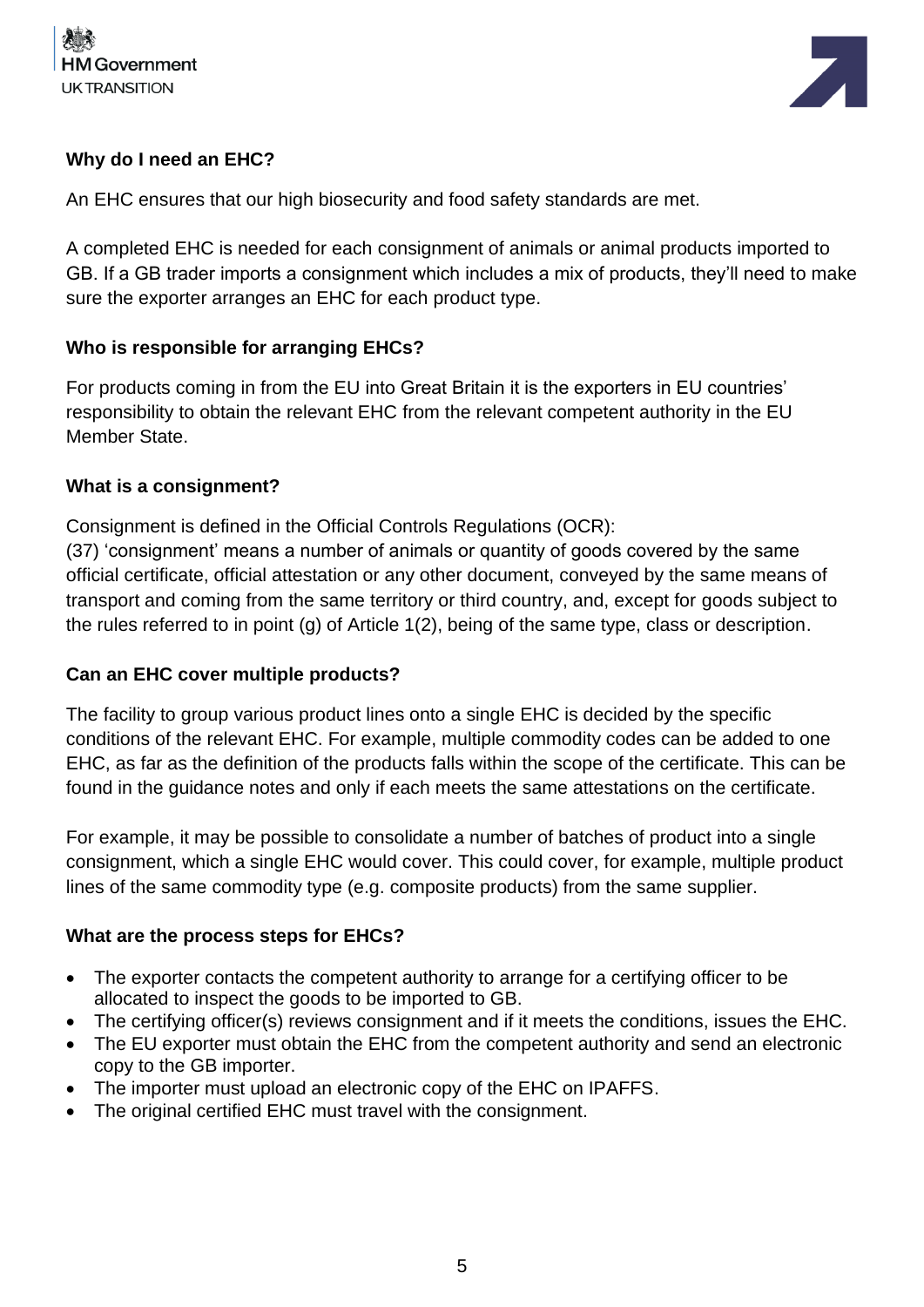



#### **Why do I need an EHC?**

An EHC ensures that our high biosecurity and food safety standards are met.

A completed EHC is needed for each consignment of animals or animal products imported to GB. If a GB trader imports a consignment which includes a mix of products, they'll need to make sure the exporter arranges an EHC for each product type.

#### **Who is responsible for arranging EHCs?**

For products coming in from the EU into Great Britain it is the exporters in EU countries' responsibility to obtain the relevant EHC from the relevant competent authority in the EU Member State.

#### **What is a consignment?**

Consignment is defined in the Official Controls Regulations (OCR):

(37) 'consignment' means a number of animals or quantity of goods covered by the same official certificate, official attestation or any other document, conveyed by the same means of transport and coming from the same territory or third country, and, except for goods subject to the rules referred to in point (g) of Article 1(2), being of the same type, class or description.

#### **Can an EHC cover multiple products?**

The facility to group various product lines onto a single EHC is decided by the specific conditions of the relevant EHC. For example, multiple commodity codes can be added to one EHC, as far as the definition of the products falls within the scope of the certificate. This can be found in the guidance notes and only if each meets the same attestations on the certificate.

For example, it may be possible to consolidate a number of batches of product into a single consignment, which a single EHC would cover. This could cover, for example, multiple product lines of the same commodity type (e.g. composite products) from the same supplier.

#### **What are the process steps for EHCs?**

- The exporter contacts the competent authority to arrange for a certifying officer to be allocated to inspect the goods to be imported to GB.
- The certifying officer(s) reviews consignment and if it meets the conditions, issues the EHC.
- The EU exporter must obtain the EHC from the competent authority and send an electronic copy to the GB importer.
- The importer must upload an electronic copy of the EHC on IPAFFS.
- The original certified EHC must travel with the consignment.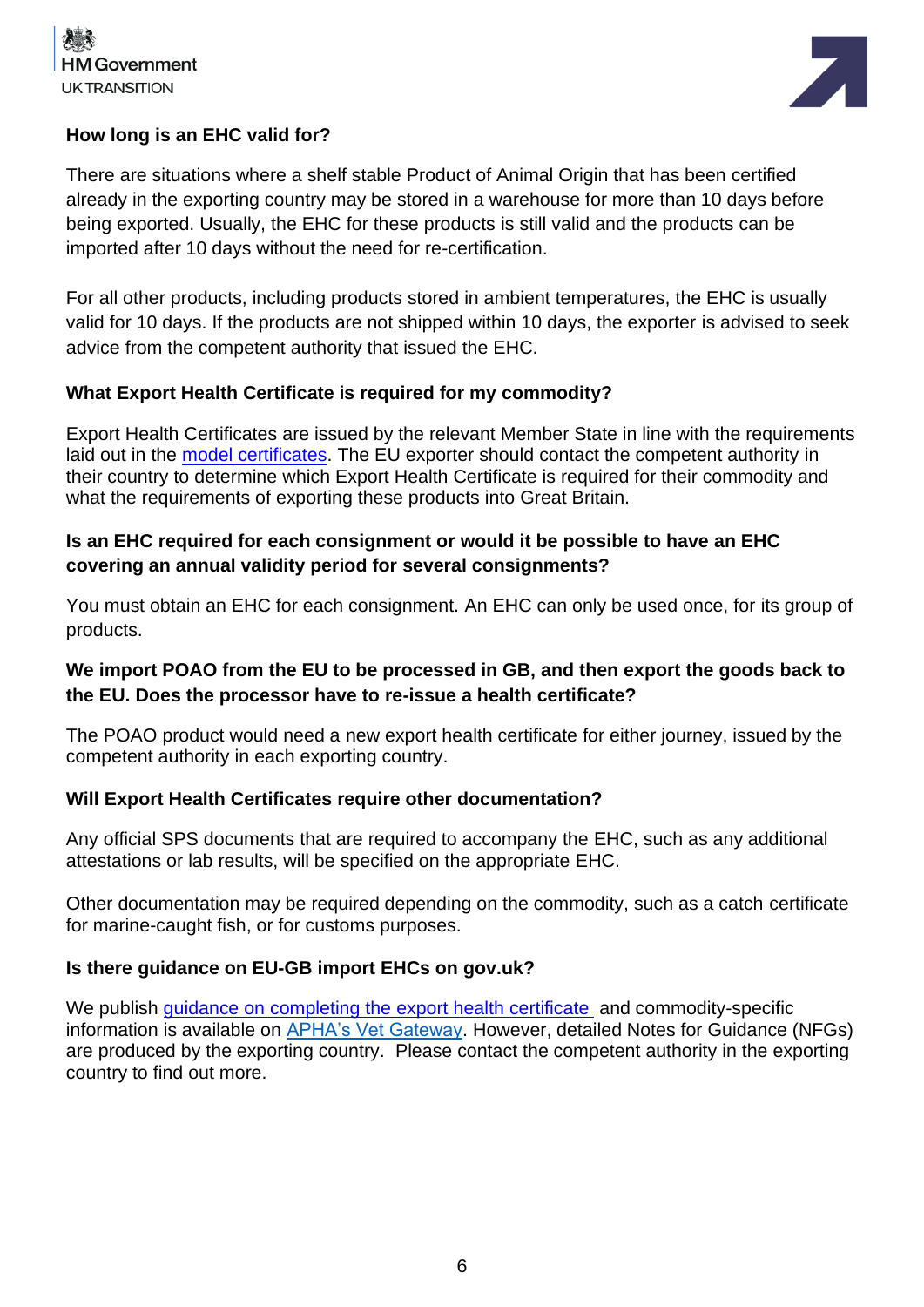



#### **How long is an EHC valid for?**

There are situations where a shelf stable Product of Animal Origin that has been certified already in the exporting country may be stored in a warehouse for more than 10 days before being exported. Usually, the EHC for these products is still valid and the products can be imported after 10 days without the need for re-certification.

For all other products, including products stored in ambient temperatures, the EHC is usually valid for 10 days. If the products are not shipped within 10 days, the exporter is advised to seek advice from the competent authority that issued the EHC.

#### **What Export Health Certificate is required for my commodity?**

Export Health Certificates are issued by the relevant Member State in line with the requirements laid out in the [model certificates.](https://www.gov.uk/government/collections/health-certificates-for-animal-and-animal-product-imports-to-great-britain) The EU exporter should contact the competent authority in their country to determine which Export Health Certificate is required for their commodity and what the requirements of exporting these products into Great Britain.

#### **Is an EHC required for each consignment or would it be possible to have an EHC covering an annual validity period for several consignments?**

You must obtain an EHC for each consignment. An EHC can only be used once, for its group of products.

# **We import POAO from the EU to be processed in GB, and then export the goods back to the EU. Does the processor have to re-issue a health certificate?**

The POAO product would need a new export health certificate for either journey, issued by the competent authority in each exporting country.

#### **Will Export Health Certificates require other documentation?**

Any official SPS documents that are required to accompany the EHC, such as any additional attestations or lab results, will be specified on the appropriate EHC.

Other documentation may be required depending on the commodity, such as a catch certificate for marine-caught fish, or for customs purposes.

#### **Is there guidance on EU-GB import EHCs on gov.uk?**

We publish [guidance on completing the export health](https://www.gov.uk/government/publications/how-to-complete-a-health-certificate-for-imports-to-great-britain) certificate and commodity-specific information is available on [APHA's Vet Gateway.](http://apha.defra.gov.uk/official-vets/Guidance/bip/iin/animal-prod-hum-cons.htm) However, detailed Notes for Guidance (NFGs) are produced by the exporting country. Please contact the competent authority in the exporting country to find out more.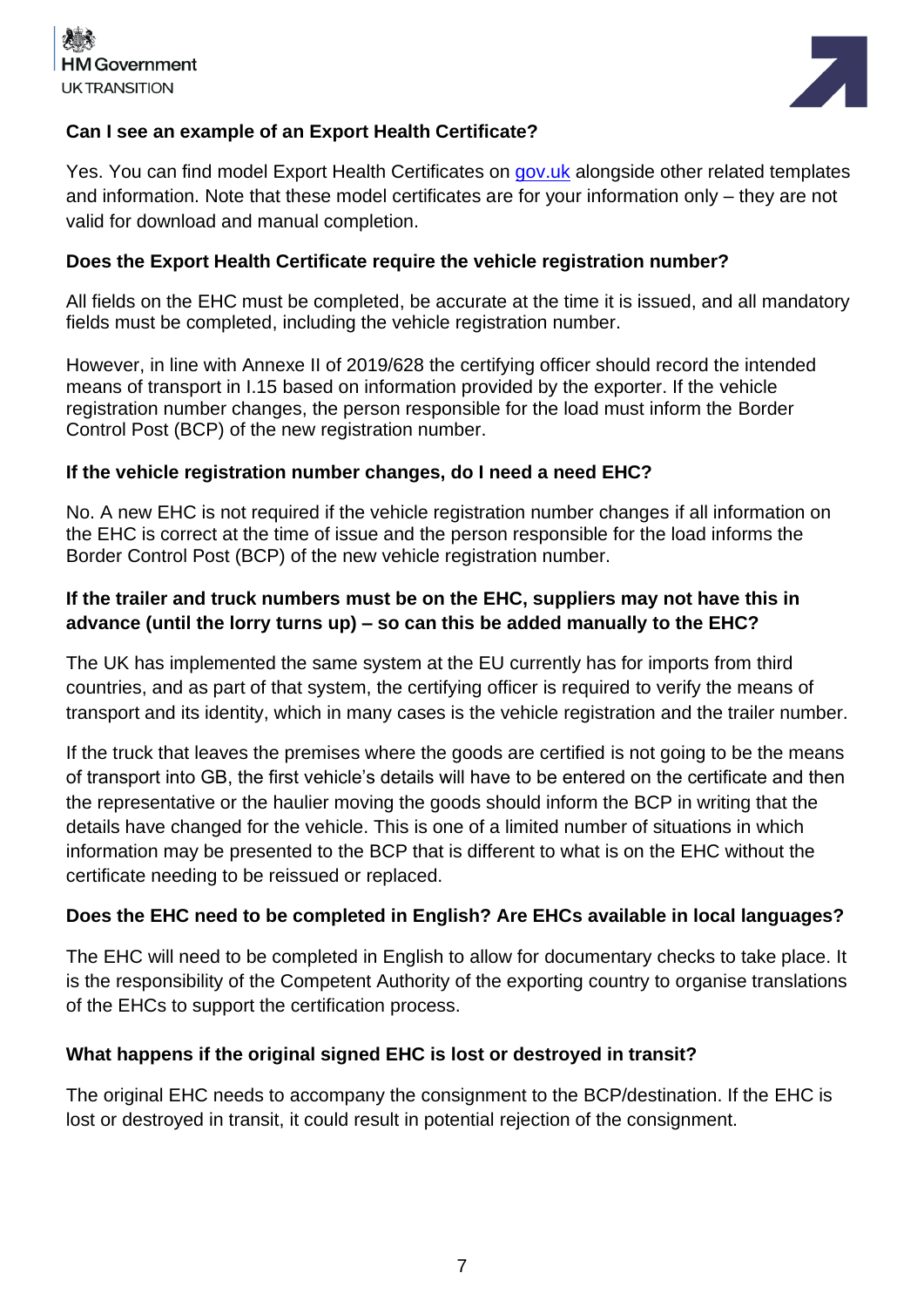



#### **Can I see an example of an Export Health Certificate?**

Yes. You can find model Export Health Certificates on [gov.uk](https://www.gov.uk/government/collections/health-certificates-for-animal-and-animal-product-imports-to-great-britain#products-of-animal-origin) alongside other related templates and information. Note that these model certificates are for your information only – they are not valid for download and manual completion.

#### **Does the Export Health Certificate require the vehicle registration number?**

All fields on the EHC must be completed, be accurate at the time it is issued, and all mandatory fields must be completed, including the vehicle registration number.

However, in line with Annexe II of 2019/628 the certifying officer should record the intended means of transport in I.15 based on information provided by the exporter. If the vehicle registration number changes, the person responsible for the load must inform the Border Control Post (BCP) of the new registration number.

#### **If the vehicle registration number changes, do I need a need EHC?**

No. A new EHC is not required if the vehicle registration number changes if all information on the EHC is correct at the time of issue and the person responsible for the load informs the Border Control Post (BCP) of the new vehicle registration number.

# **If the trailer and truck numbers must be on the EHC, suppliers may not have this in advance (until the lorry turns up) – so can this be added manually to the EHC?**

The UK has implemented the same system at the EU currently has for imports from third countries, and as part of that system, the certifying officer is required to verify the means of transport and its identity, which in many cases is the vehicle registration and the trailer number.

If the truck that leaves the premises where the goods are certified is not going to be the means of transport into GB, the first vehicle's details will have to be entered on the certificate and then the representative or the haulier moving the goods should inform the BCP in writing that the details have changed for the vehicle. This is one of a limited number of situations in which information may be presented to the BCP that is different to what is on the EHC without the certificate needing to be reissued or replaced.

#### **Does the EHC need to be completed in English? Are EHCs available in local languages?**

The EHC will need to be completed in English to allow for documentary checks to take place. It is the responsibility of the Competent Authority of the exporting country to organise translations of the EHCs to support the certification process.

#### **What happens if the original signed EHC is lost or destroyed in transit?**

The original EHC needs to accompany the consignment to the BCP/destination. If the EHC is lost or destroyed in transit, it could result in potential rejection of the consignment.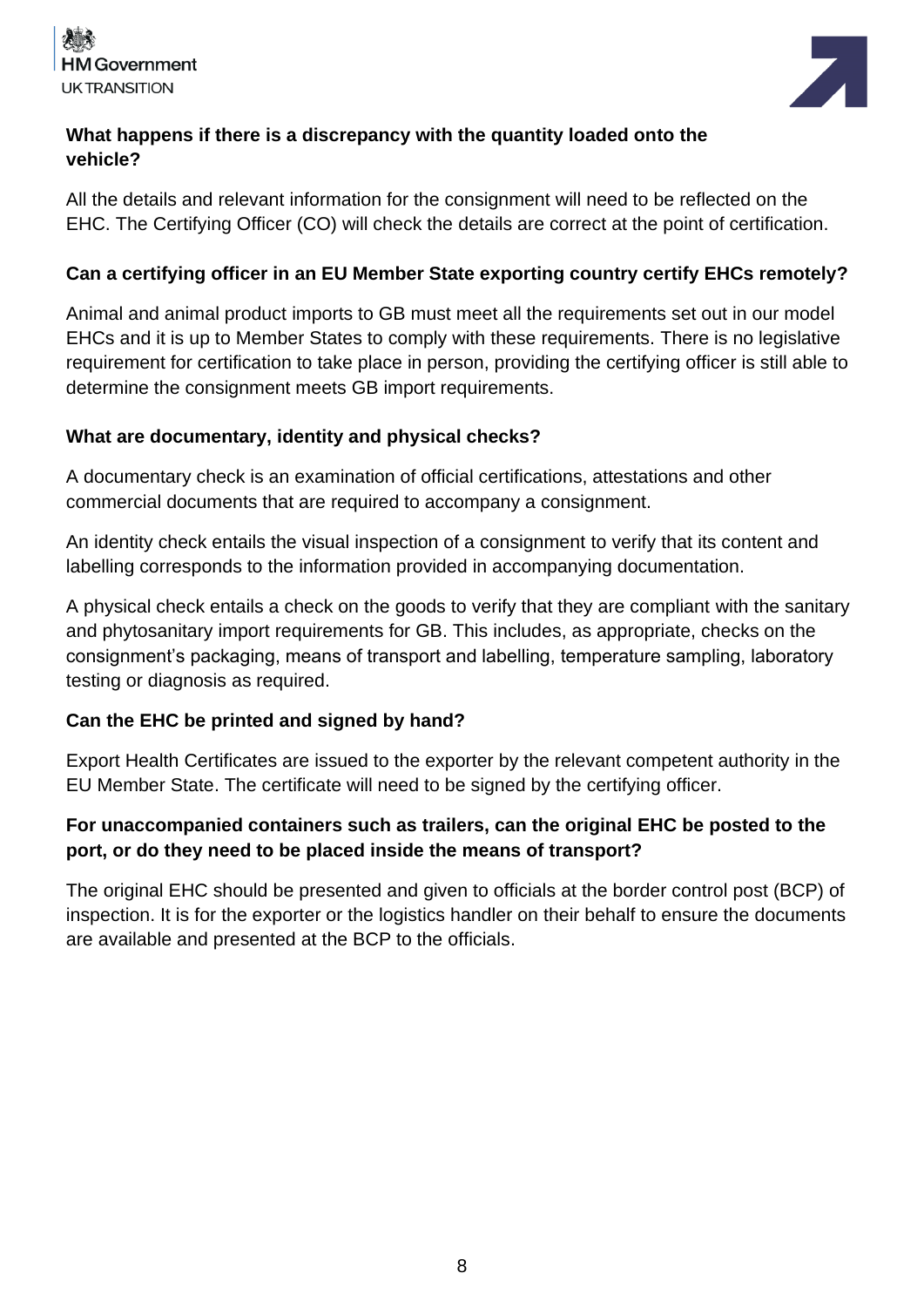



# **What happens if there is a discrepancy with the quantity loaded onto the vehicle?**

All the details and relevant information for the consignment will need to be reflected on the EHC. The Certifying Officer (CO) will check the details are correct at the point of certification.

# **Can a certifying officer in an EU Member State exporting country certify EHCs remotely?**

Animal and animal product imports to GB must meet all the requirements set out in our model EHCs and it is up to Member States to comply with these requirements. There is no legislative requirement for certification to take place in person, providing the certifying officer is still able to determine the consignment meets GB import requirements.

# **What are documentary, identity and physical checks?**

A documentary check is an examination of official certifications, attestations and other commercial documents that are required to accompany a consignment.

An identity check entails the visual inspection of a consignment to verify that its content and labelling corresponds to the information provided in accompanying documentation.

A physical check entails a check on the goods to verify that they are compliant with the sanitary and phytosanitary import requirements for GB. This includes, as appropriate, checks on the consignment's packaging, means of transport and labelling, temperature sampling, laboratory testing or diagnosis as required.

# **Can the EHC be printed and signed by hand?**

Export Health Certificates are issued to the exporter by the relevant competent authority in the EU Member State. The certificate will need to be signed by the certifying officer.

# **For unaccompanied containers such as trailers, can the original EHC be posted to the port, or do they need to be placed inside the means of transport?**

The original EHC should be presented and given to officials at the border control post (BCP) of inspection. It is for the exporter or the logistics handler on their behalf to ensure the documents are available and presented at the BCP to the officials.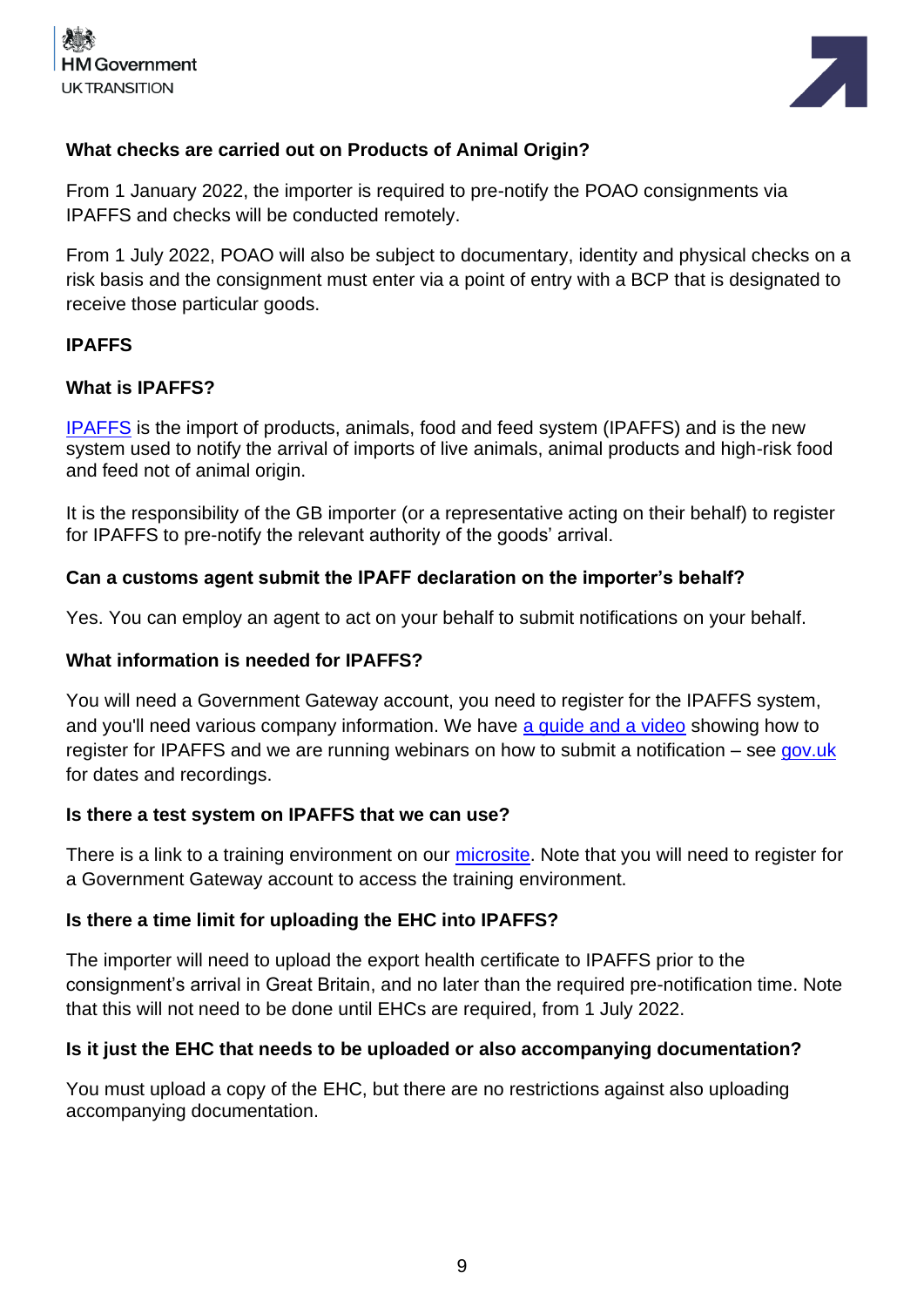



#### **What checks are carried out on Products of Animal Origin?**

From 1 January 2022, the importer is required to pre-notify the POAO consignments via IPAFFS and checks will be conducted remotely.

From 1 July 2022, POAO will also be subject to documentary, identity and physical checks on a risk basis and the consignment must enter via a point of entry with a BCP that is designated to receive those particular goods.

#### **IPAFFS**

#### **What is IPAFFS?**

[IPAFFS](https://www.gov.uk/guidance/import-of-products-animals-food-and-feed-system) is the import of products, animals, food and feed system (IPAFFS) and is the new system used to notify the arrival of imports of live animals, animal products and high-risk food and feed not of animal origin.

It is the responsibility of the GB importer (or a representative acting on their behalf) to register for IPAFFS to pre-notify the relevant authority of the goods' arrival.

#### **Can a customs agent submit the IPAFF declaration on the importer's behalf?**

Yes. You can employ an agent to act on your behalf to submit notifications on your behalf.

#### **What information is needed for IPAFFS?**

You will need a Government Gateway account, you need to register for the IPAFFS system, and you'll need various company information. We have [a guide and a video](https://www.dropbox.com/scl/fi/nkg4nltxghurtqp9oncp3/Moving-Goods-from-the-European-Union-into-Great-Britain.-New-Requirements-from-October-2021.paper?dl=0&rlkey=xe77te92f6adbnez96b4h26s8) showing how to register for IPAFFS and we are running webinars on how to submit a notification – see [gov.uk](https://www.gov.uk/guidance/webinars-for-importers-of-food-and-drink-products-from-the-eu-to-great-britain) for dates and recordings.

#### **Is there a test system on IPAFFS that we can use?**

There is a link to a training environment on our [microsite.](https://www.dropbox.com/scl/fi/nkg4nltxghurtqp9oncp3/Moving-Goods-from-the-European-Union-into-Great-Britain.-New-Requirements-from-October-2021.paper?dl=0&rlkey=xe77te92f6adbnez96b4h26s8) Note that you will need to register for a Government Gateway account to access the training environment.

#### **Is there a time limit for uploading the EHC into IPAFFS?**

The importer will need to upload the export health certificate to IPAFFS prior to the consignment's arrival in Great Britain, and no later than the required pre-notification time. Note that this will not need to be done until EHCs are required, from 1 July 2022.

#### **Is it just the EHC that needs to be uploaded or also accompanying documentation?**

You must upload a copy of the EHC, but there are no restrictions against also uploading accompanying documentation.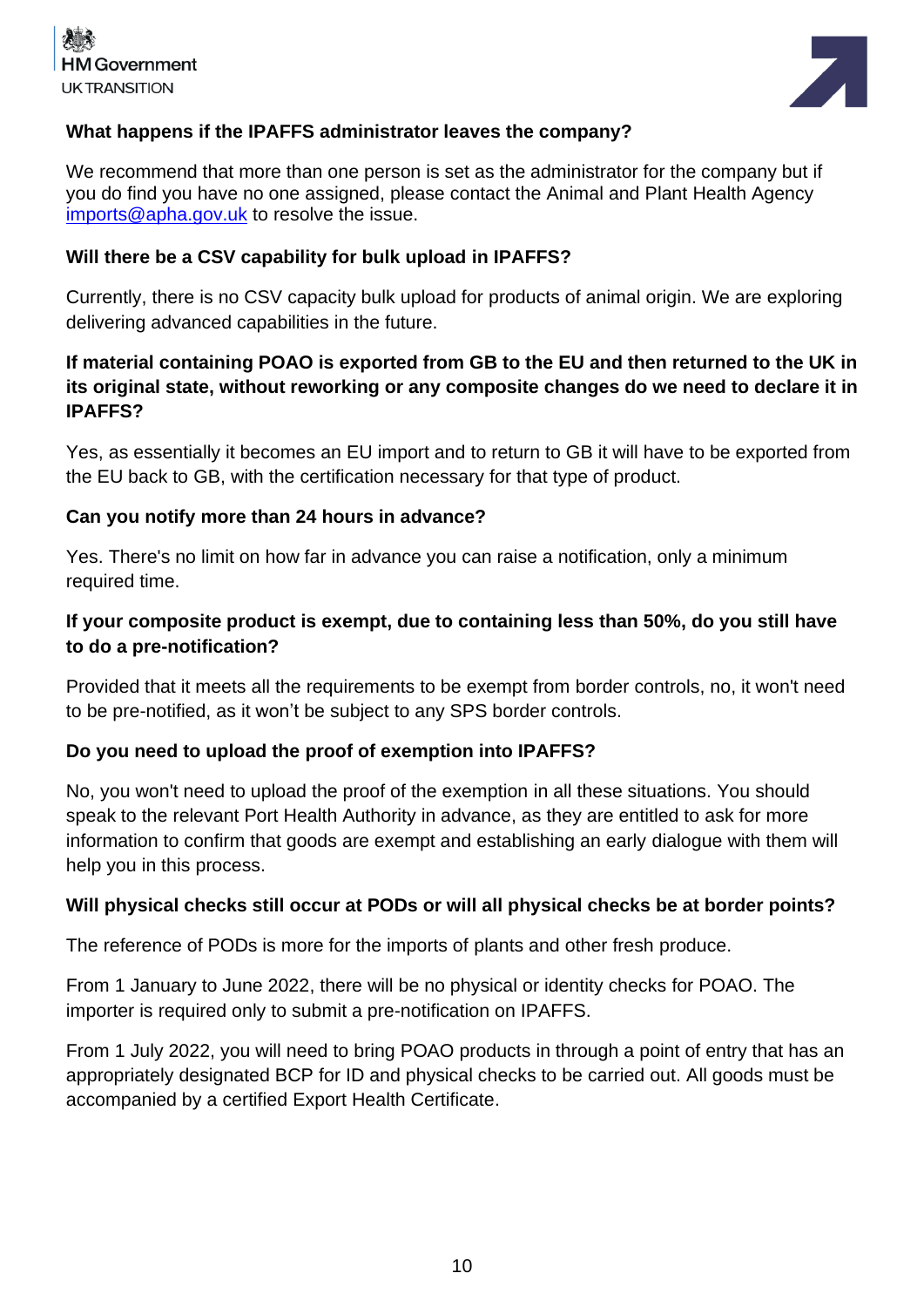



#### **What happens if the IPAFFS administrator leaves the company?**

We recommend that more than one person is set as the administrator for the company but if you do find you have no one assigned, please contact the Animal and Plant Health Agency [imports@apha.gov.uk](mailto:imports@apha.gov.uk) to resolve the issue.

#### **Will there be a CSV capability for bulk upload in IPAFFS?**

Currently, there is no CSV capacity bulk upload for products of animal origin. We are exploring delivering advanced capabilities in the future.

# **If material containing POAO is exported from GB to the EU and then returned to the UK in its original state, without reworking or any composite changes do we need to declare it in IPAFFS?**

Yes, as essentially it becomes an EU import and to return to GB it will have to be exported from the EU back to GB, with the certification necessary for that type of product.

#### **Can you notify more than 24 hours in advance?**

Yes. There's no limit on how far in advance you can raise a notification, only a minimum required time.

# **If your composite product is exempt, due to containing less than 50%, do you still have to do a pre-notification?**

Provided that it meets all the requirements to be exempt from border controls, no, it won't need to be pre-notified, as it won't be subject to any SPS border controls.

#### **Do you need to upload the proof of exemption into IPAFFS?**

No, you won't need to upload the proof of the exemption in all these situations. You should speak to the relevant Port Health Authority in advance, as they are entitled to ask for more information to confirm that goods are exempt and establishing an early dialogue with them will help you in this process.

#### **Will physical checks still occur at PODs or will all physical checks be at border points?**

The reference of PODs is more for the imports of plants and other fresh produce.

From 1 January to June 2022, there will be no physical or identity checks for POAO. The importer is required only to submit a pre-notification on IPAFFS.

From 1 July 2022, you will need to bring POAO products in through a point of entry that has an appropriately designated BCP for ID and physical checks to be carried out. All goods must be accompanied by a certified Export Health Certificate.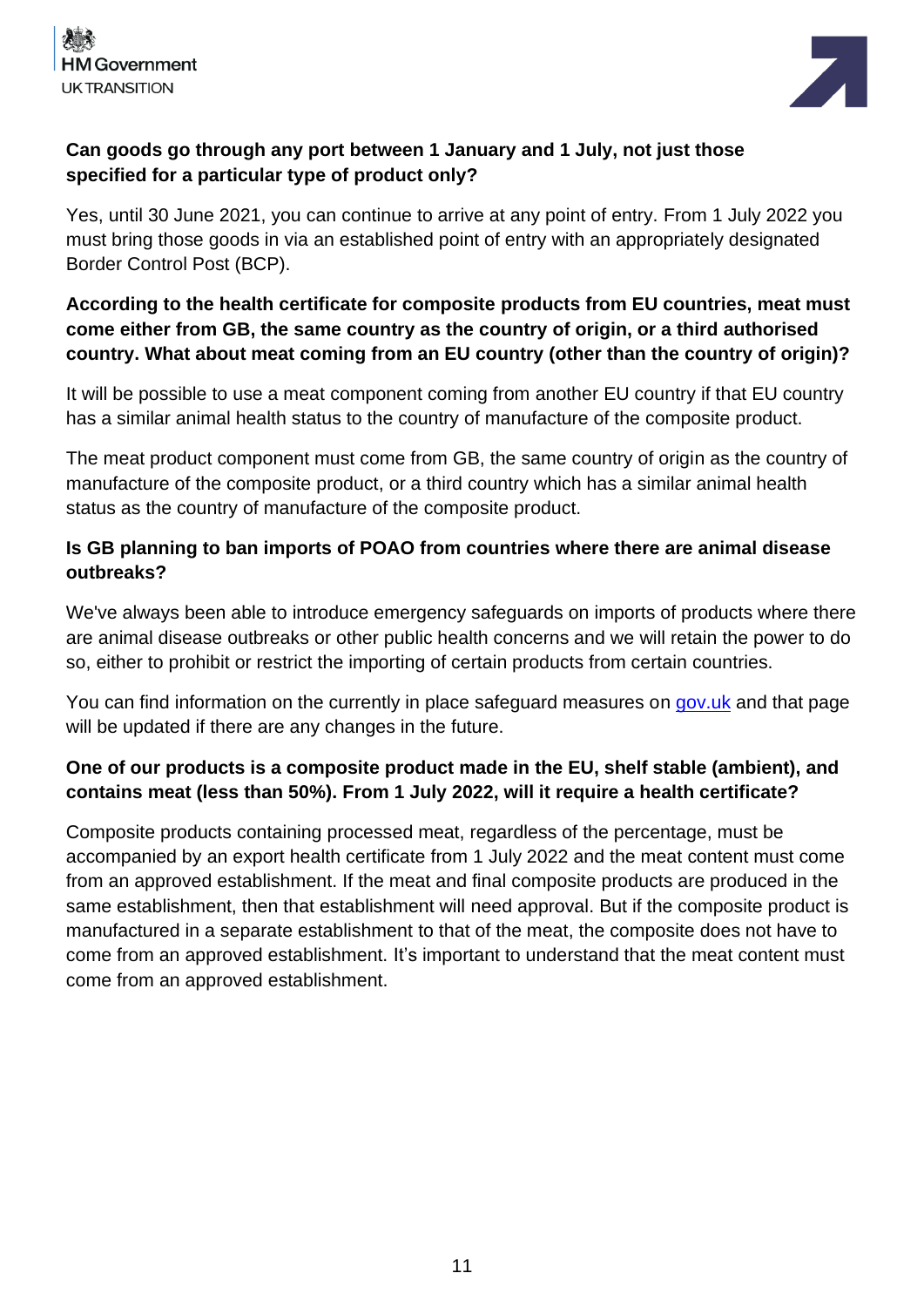



# **Can goods go through any port between 1 January and 1 July, not just those specified for a particular type of product only?**

Yes, until 30 June 2021, you can continue to arrive at any point of entry. From 1 July 2022 you must bring those goods in via an established point of entry with an appropriately designated Border Control Post (BCP).

# **According to the health certificate for composite products from EU countries, meat must come either from GB, the same country as the country of origin, or a third authorised country. What about meat coming from an EU country (other than the country of origin)?**

It will be possible to use a meat component coming from another EU country if that EU country has a similar animal health status to the country of manufacture of the composite product.

The meat product component must come from GB, the same country of origin as the country of manufacture of the composite product, or a third country which has a similar animal health status as the country of manufacture of the composite product.

# **Is GB planning to ban imports of POAO from countries where there are animal disease outbreaks?**

We've always been able to introduce emergency safeguards on imports of products where there are animal disease outbreaks or other public health concerns and we will retain the power to do so, either to prohibit or restrict the importing of certain products from certain countries.

You can find information on the currently in place safeguard measures on [gov.uk](https://www.gov.uk/guidance/imports-and-exports-of-animals-and-animal-products-topical-issues) and that page will be updated if there are any changes in the future.

# **One of our products is a composite product made in the EU, shelf stable (ambient), and contains meat (less than 50%). From 1 July 2022, will it require a health certificate?**

Composite products containing processed meat, regardless of the percentage, must be accompanied by an export health certificate from 1 July 2022 and the meat content must come from an approved establishment. If the meat and final composite products are produced in the same establishment, then that establishment will need approval. But if the composite product is manufactured in a separate establishment to that of the meat, the composite does not have to come from an approved establishment. It's important to understand that the meat content must come from an approved establishment.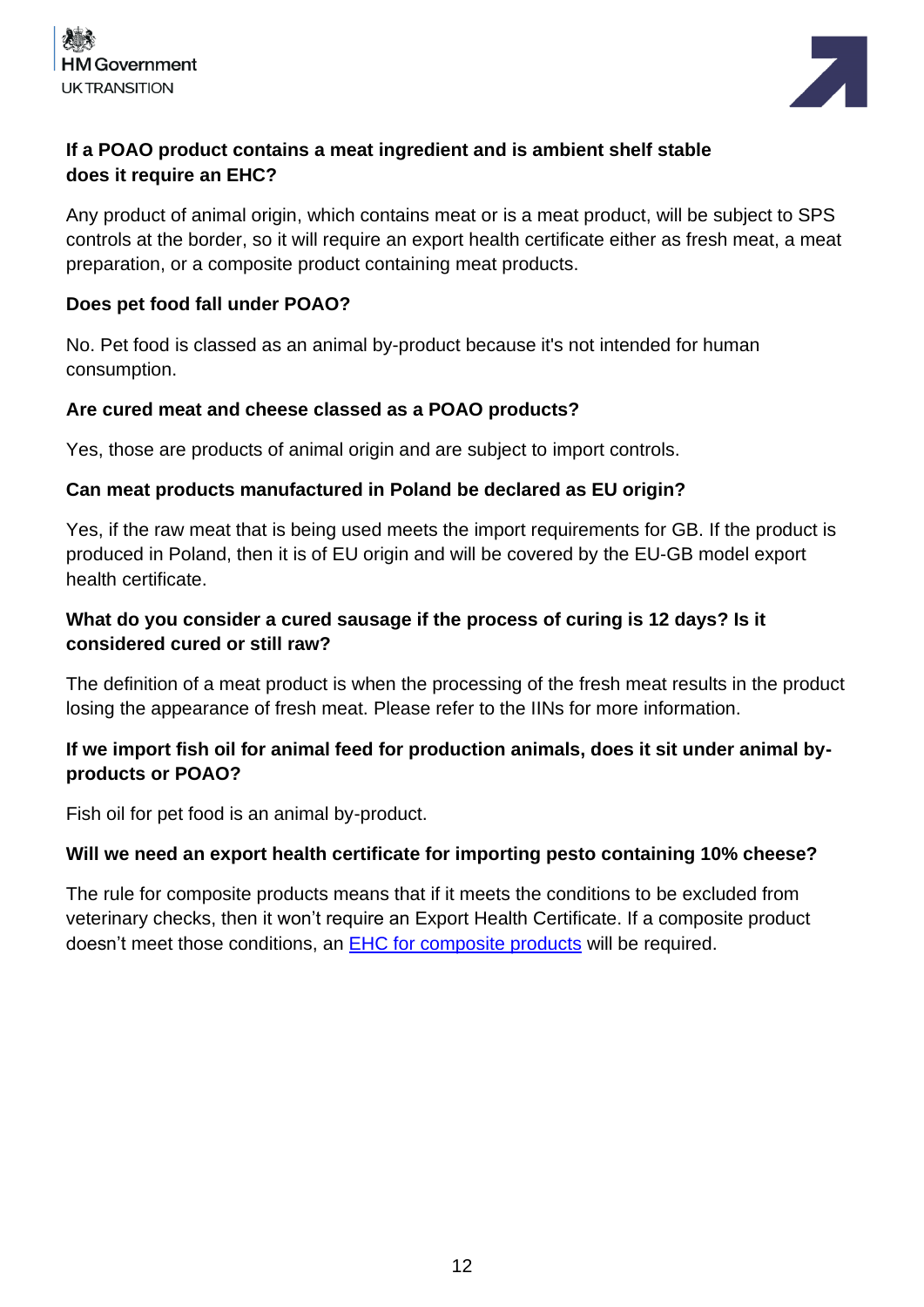



# **If a POAO product contains a meat ingredient and is ambient shelf stable does it require an EHC?**

Any product of animal origin, which contains meat or is a meat product, will be subject to SPS controls at the border, so it will require an export health certificate either as fresh meat, a meat preparation, or a composite product containing meat products.

#### **Does pet food fall under POAO?**

No. Pet food is classed as an animal by-product because it's not intended for human consumption.

#### **Are cured meat and cheese classed as a POAO products?**

Yes, those are products of animal origin and are subject to import controls.

#### **Can meat products manufactured in Poland be declared as EU origin?**

Yes, if the raw meat that is being used meets the import requirements for GB. If the product is produced in Poland, then it is of EU origin and will be covered by the EU-GB model export health certificate.

# **What do you consider a cured sausage if the process of curing is 12 days? Is it considered cured or still raw?**

The definition of a meat product is when the processing of the fresh meat results in the product losing the appearance of fresh meat. Please refer to the IINs for more information.

# **If we import fish oil for animal feed for production animals, does it sit under animal byproducts or POAO?**

Fish oil for pet food is an animal by-product.

#### **Will we need an export health certificate for importing pesto containing 10% cheese?**

The rule for composite products means that if it meets the conditions to be excluded from veterinary checks, then it won't require an Export Health Certificate. If a composite product doesn't meet those conditions, an EHC [for composite](https://www.gov.uk/government/publications/composites-health-certificates) products will be required.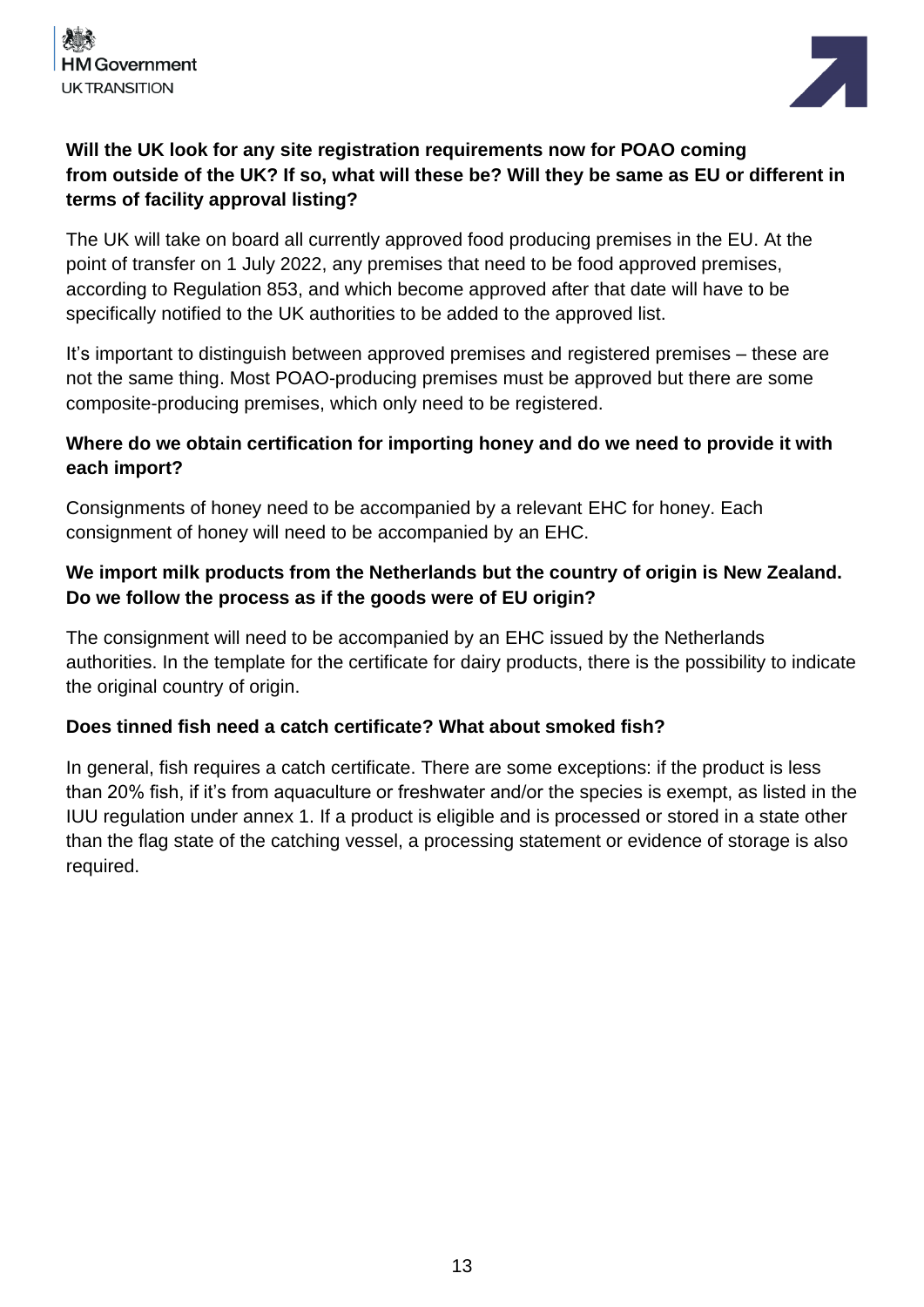



# **Will the UK look for any site registration requirements now for POAO coming from outside of the UK? If so, what will these be? Will they be same as EU or different in terms of facility approval listing?**

The UK will take on board all currently approved food producing premises in the EU. At the point of transfer on 1 July 2022, any premises that need to be food approved premises, according to Regulation 853, and which become approved after that date will have to be specifically notified to the UK authorities to be added to the approved list.

It's important to distinguish between approved premises and registered premises – these are not the same thing. Most POAO-producing premises must be approved but there are some composite-producing premises, which only need to be registered.

# **Where do we obtain certification for importing honey and do we need to provide it with each import?**

Consignments of honey need to be accompanied by a relevant EHC for honey. Each consignment of honey will need to be accompanied by an EHC.

# **We import milk products from the Netherlands but the country of origin is New Zealand. Do we follow the process as if the goods were of EU origin?**

The consignment will need to be accompanied by an EHC issued by the Netherlands authorities. In the template for the certificate for dairy products, there is the possibility to indicate the original country of origin.

#### **Does tinned fish need a catch certificate? What about smoked fish?**

In general, fish requires a catch certificate. There are some exceptions: if the product is less than 20% fish, if it's from aquaculture or freshwater and/or the species is exempt, as listed in the IUU regulation under annex 1. If a product is eligible and is processed or stored in a state other than the flag state of the catching vessel, a processing statement or evidence of storage is also required.